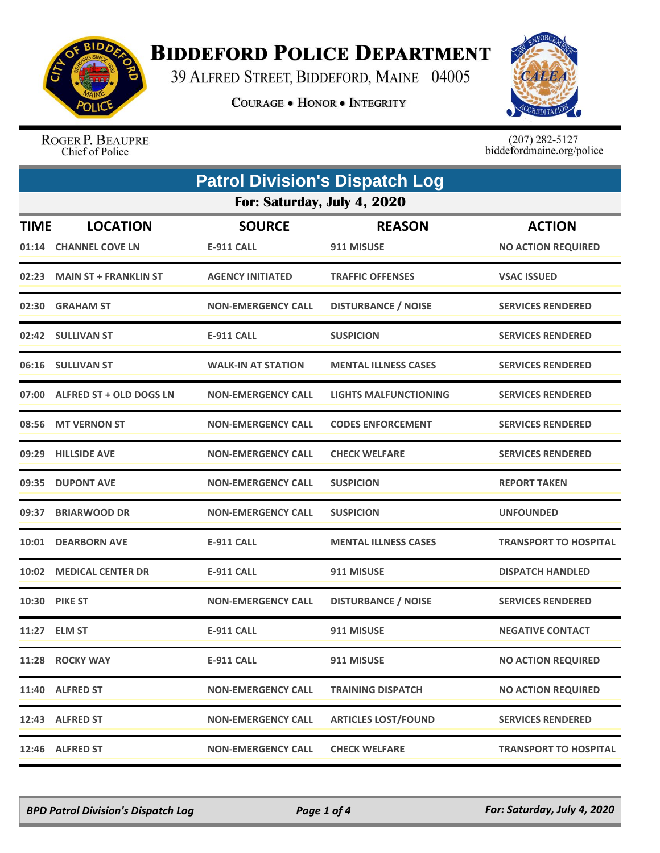

## **BIDDEFORD POLICE DEPARTMENT**

39 ALFRED STREET, BIDDEFORD, MAINE 04005

**COURAGE . HONOR . INTEGRITY** 



ROGER P. BEAUPRE Chief of Police

 $(207)$  282-5127<br>biddefordmaine.org/police

| <b>Patrol Division's Dispatch Log</b> |                                          |                                    |                              |                                            |  |  |
|---------------------------------------|------------------------------------------|------------------------------------|------------------------------|--------------------------------------------|--|--|
|                                       | For: Saturday, July 4, 2020              |                                    |                              |                                            |  |  |
| <b>TIME</b>                           | <b>LOCATION</b><br>01:14 CHANNEL COVE LN | <b>SOURCE</b><br><b>E-911 CALL</b> | <b>REASON</b><br>911 MISUSE  | <b>ACTION</b><br><b>NO ACTION REQUIRED</b> |  |  |
|                                       | 02:23 MAIN ST + FRANKLIN ST              | <b>AGENCY INITIATED</b>            | <b>TRAFFIC OFFENSES</b>      | <b>VSAC ISSUED</b>                         |  |  |
|                                       | 02:30 GRAHAM ST                          | <b>NON-EMERGENCY CALL</b>          | <b>DISTURBANCE / NOISE</b>   | <b>SERVICES RENDERED</b>                   |  |  |
|                                       | 02:42 SULLIVAN ST                        | <b>E-911 CALL</b>                  | <b>SUSPICION</b>             | <b>SERVICES RENDERED</b>                   |  |  |
|                                       | 06:16 SULLIVAN ST                        | <b>WALK-IN AT STATION</b>          | <b>MENTAL ILLNESS CASES</b>  | <b>SERVICES RENDERED</b>                   |  |  |
|                                       | 07:00 ALFRED ST + OLD DOGS LN            | <b>NON-EMERGENCY CALL</b>          | <b>LIGHTS MALFUNCTIONING</b> | <b>SERVICES RENDERED</b>                   |  |  |
|                                       | 08:56 MT VERNON ST                       | <b>NON-EMERGENCY CALL</b>          | <b>CODES ENFORCEMENT</b>     | <b>SERVICES RENDERED</b>                   |  |  |
| 09:29                                 | <b>HILLSIDE AVE</b>                      | <b>NON-EMERGENCY CALL</b>          | <b>CHECK WELFARE</b>         | <b>SERVICES RENDERED</b>                   |  |  |
|                                       | 09:35 DUPONT AVE                         | <b>NON-EMERGENCY CALL</b>          | <b>SUSPICION</b>             | <b>REPORT TAKEN</b>                        |  |  |
| 09:37                                 | <b>BRIARWOOD DR</b>                      | <b>NON-EMERGENCY CALL</b>          | <b>SUSPICION</b>             | <b>UNFOUNDED</b>                           |  |  |
|                                       | 10:01 DEARBORN AVE                       | <b>E-911 CALL</b>                  | <b>MENTAL ILLNESS CASES</b>  | <b>TRANSPORT TO HOSPITAL</b>               |  |  |
|                                       | 10:02 MEDICAL CENTER DR                  | <b>E-911 CALL</b>                  | 911 MISUSE                   | <b>DISPATCH HANDLED</b>                    |  |  |
|                                       | 10:30 PIKE ST                            | <b>NON-EMERGENCY CALL</b>          | <b>DISTURBANCE / NOISE</b>   | <b>SERVICES RENDERED</b>                   |  |  |
|                                       | 11:27 ELM ST                             | <b>E-911 CALL</b>                  | 911 MISUSE                   | <b>NEGATIVE CONTACT</b>                    |  |  |
|                                       | 11:28 ROCKY WAY                          | E-911 CALL                         | 911 MISUSE                   | <b>NO ACTION REQUIRED</b>                  |  |  |
|                                       | 11:40 ALFRED ST                          | <b>NON-EMERGENCY CALL</b>          | <b>TRAINING DISPATCH</b>     | <b>NO ACTION REQUIRED</b>                  |  |  |
|                                       | 12:43 ALFRED ST                          | <b>NON-EMERGENCY CALL</b>          | <b>ARTICLES LOST/FOUND</b>   | <b>SERVICES RENDERED</b>                   |  |  |
|                                       | 12:46 ALFRED ST                          | <b>NON-EMERGENCY CALL</b>          | <b>CHECK WELFARE</b>         | <b>TRANSPORT TO HOSPITAL</b>               |  |  |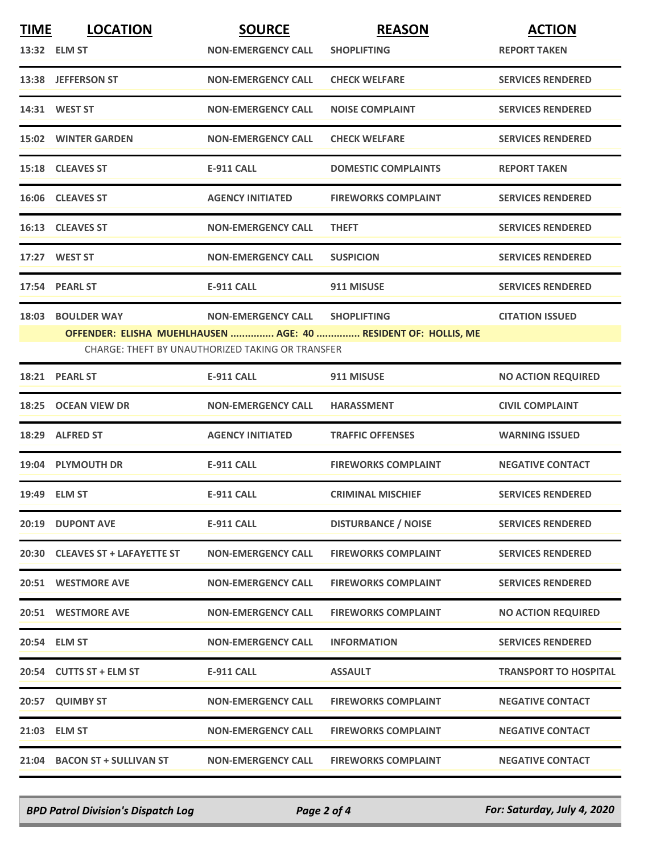| <b>TIME</b> | <b>LOCATION</b>                 | <b>SOURCE</b>                                    | <b>REASON</b>                                                  | <b>ACTION</b>                |
|-------------|---------------------------------|--------------------------------------------------|----------------------------------------------------------------|------------------------------|
|             | 13:32 ELM ST                    | <b>NON-EMERGENCY CALL</b>                        | <b>SHOPLIFTING</b>                                             | <b>REPORT TAKEN</b>          |
|             | 13:38 JEFFERSON ST              | <b>NON-EMERGENCY CALL</b>                        | <b>CHECK WELFARE</b>                                           | <b>SERVICES RENDERED</b>     |
|             | 14:31 WEST ST                   | <b>NON-EMERGENCY CALL</b>                        | <b>NOISE COMPLAINT</b>                                         | <b>SERVICES RENDERED</b>     |
|             | <b>15:02 WINTER GARDEN</b>      | <b>NON-EMERGENCY CALL</b>                        | <b>CHECK WELFARE</b>                                           | <b>SERVICES RENDERED</b>     |
|             | 15:18 CLEAVES ST                | <b>E-911 CALL</b>                                | <b>DOMESTIC COMPLAINTS</b>                                     | <b>REPORT TAKEN</b>          |
|             | 16:06 CLEAVES ST                | <b>AGENCY INITIATED</b>                          | <b>FIREWORKS COMPLAINT</b>                                     | <b>SERVICES RENDERED</b>     |
|             | 16:13 CLEAVES ST                | <b>NON-EMERGENCY CALL</b>                        | <b>THEFT</b>                                                   | <b>SERVICES RENDERED</b>     |
|             | 17:27 WEST ST                   | <b>NON-EMERGENCY CALL</b>                        | <b>SUSPICION</b>                                               | <b>SERVICES RENDERED</b>     |
|             | 17:54 PEARL ST                  | <b>E-911 CALL</b>                                | 911 MISUSE                                                     | <b>SERVICES RENDERED</b>     |
|             | 18:03 BOULDER WAY               | <b>NON-EMERGENCY CALL</b>                        | <b>SHOPLIFTING</b>                                             | <b>CITATION ISSUED</b>       |
|             |                                 |                                                  | OFFENDER: ELISHA MUEHLHAUSEN  AGE: 40  RESIDENT OF: HOLLIS, ME |                              |
|             |                                 | CHARGE: THEFT BY UNAUTHORIZED TAKING OR TRANSFER |                                                                |                              |
|             | 18:21 PEARL ST                  | <b>E-911 CALL</b>                                | 911 MISUSE                                                     | <b>NO ACTION REQUIRED</b>    |
|             | 18:25 OCEAN VIEW DR             | <b>NON-EMERGENCY CALL</b>                        | <b>HARASSMENT</b>                                              | <b>CIVIL COMPLAINT</b>       |
|             | 18:29 ALFRED ST                 | <b>AGENCY INITIATED</b>                          | <b>TRAFFIC OFFENSES</b>                                        | <b>WARNING ISSUED</b>        |
|             | 19:04 PLYMOUTH DR               | <b>E-911 CALL</b>                                | <b>FIREWORKS COMPLAINT</b>                                     | <b>NEGATIVE CONTACT</b>      |
|             | 19:49 ELM ST                    | <b>E-911 CALL</b>                                | <b>CRIMINAL MISCHIEF</b>                                       | <b>SERVICES RENDERED</b>     |
| 20:19       | <b>DUPONT AVE</b>               | <b>E-911 CALL</b>                                | <b>DISTURBANCE / NOISE</b>                                     | <b>SERVICES RENDERED</b>     |
|             | 20:30 CLEAVES ST + LAFAYETTE ST | <b>NON-EMERGENCY CALL</b>                        | <b>FIREWORKS COMPLAINT</b>                                     | <b>SERVICES RENDERED</b>     |
|             | 20:51 WESTMORE AVE              | <b>NON-EMERGENCY CALL</b>                        | <b>FIREWORKS COMPLAINT</b>                                     | <b>SERVICES RENDERED</b>     |
|             | 20:51 WESTMORE AVE              | <b>NON-EMERGENCY CALL</b>                        | <b>FIREWORKS COMPLAINT</b>                                     | <b>NO ACTION REQUIRED</b>    |
|             | 20:54 ELM ST                    | <b>NON-EMERGENCY CALL</b>                        | <b>INFORMATION</b>                                             | <b>SERVICES RENDERED</b>     |
|             | 20:54 CUTTS ST + ELM ST         | <b>E-911 CALL</b>                                | <b>ASSAULT</b>                                                 | <b>TRANSPORT TO HOSPITAL</b> |
|             | 20:57 QUIMBY ST                 | <b>NON-EMERGENCY CALL</b>                        | <b>FIREWORKS COMPLAINT</b>                                     | <b>NEGATIVE CONTACT</b>      |
|             | 21:03 ELM ST                    | <b>NON-EMERGENCY CALL</b>                        | <b>FIREWORKS COMPLAINT</b>                                     | <b>NEGATIVE CONTACT</b>      |
|             | 21:04 BACON ST + SULLIVAN ST    | <b>NON-EMERGENCY CALL</b>                        | <b>FIREWORKS COMPLAINT</b>                                     | <b>NEGATIVE CONTACT</b>      |

*BPD Patrol Division's Dispatch Log Page 2 of 4 For: Saturday, July 4, 2020*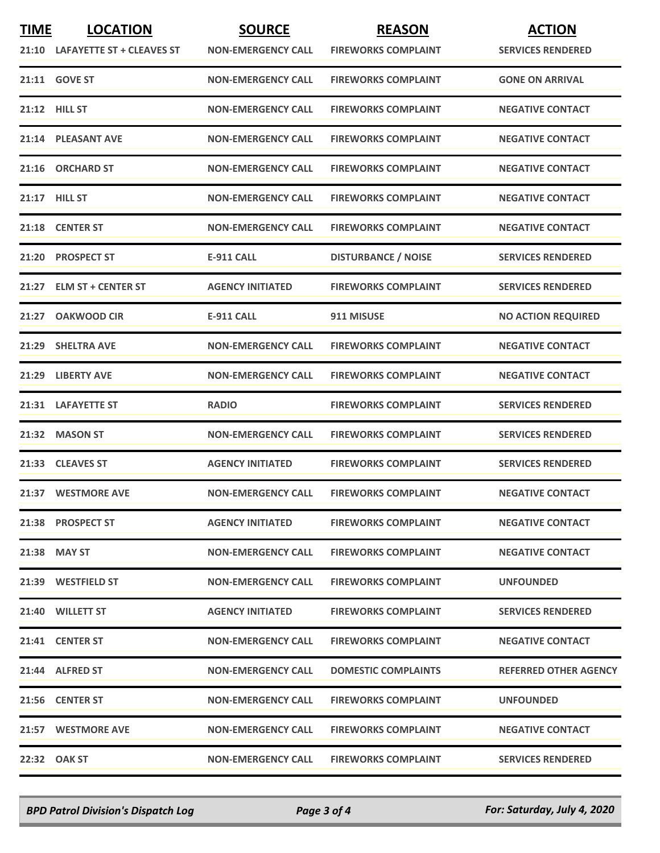| <b>TIME</b> | <b>LOCATION</b>                 | <b>SOURCE</b>             | <b>REASON</b>              | <b>ACTION</b>                |
|-------------|---------------------------------|---------------------------|----------------------------|------------------------------|
|             | 21:10 LAFAYETTE ST + CLEAVES ST | <b>NON-EMERGENCY CALL</b> | <b>FIREWORKS COMPLAINT</b> | <b>SERVICES RENDERED</b>     |
|             | 21:11 GOVE ST                   | <b>NON-EMERGENCY CALL</b> | <b>FIREWORKS COMPLAINT</b> | <b>GONE ON ARRIVAL</b>       |
|             | <b>21:12 HILL ST</b>            | <b>NON-EMERGENCY CALL</b> | <b>FIREWORKS COMPLAINT</b> | <b>NEGATIVE CONTACT</b>      |
|             | 21:14 PLEASANT AVE              | <b>NON-EMERGENCY CALL</b> | <b>FIREWORKS COMPLAINT</b> | <b>NEGATIVE CONTACT</b>      |
|             | 21:16 ORCHARD ST                | <b>NON-EMERGENCY CALL</b> | <b>FIREWORKS COMPLAINT</b> | <b>NEGATIVE CONTACT</b>      |
|             | 21:17 HILL ST                   | <b>NON-EMERGENCY CALL</b> | <b>FIREWORKS COMPLAINT</b> | <b>NEGATIVE CONTACT</b>      |
|             | 21:18 CENTER ST                 | <b>NON-EMERGENCY CALL</b> | <b>FIREWORKS COMPLAINT</b> | <b>NEGATIVE CONTACT</b>      |
| 21:20       | <b>PROSPECT ST</b>              | <b>E-911 CALL</b>         | <b>DISTURBANCE / NOISE</b> | <b>SERVICES RENDERED</b>     |
| 21:27       | <b>ELM ST + CENTER ST</b>       | <b>AGENCY INITIATED</b>   | <b>FIREWORKS COMPLAINT</b> | <b>SERVICES RENDERED</b>     |
| 21:27       | <b>OAKWOOD CIR</b>              | <b>E-911 CALL</b>         | 911 MISUSE                 | <b>NO ACTION REQUIRED</b>    |
|             | 21:29 SHELTRA AVE               | <b>NON-EMERGENCY CALL</b> | <b>FIREWORKS COMPLAINT</b> | <b>NEGATIVE CONTACT</b>      |
| 21:29       | <b>LIBERTY AVE</b>              | <b>NON-EMERGENCY CALL</b> | <b>FIREWORKS COMPLAINT</b> | <b>NEGATIVE CONTACT</b>      |
| 21:31       | <b>LAFAYETTE ST</b>             | <b>RADIO</b>              | <b>FIREWORKS COMPLAINT</b> | <b>SERVICES RENDERED</b>     |
|             | 21:32 MASON ST                  | <b>NON-EMERGENCY CALL</b> | <b>FIREWORKS COMPLAINT</b> | <b>SERVICES RENDERED</b>     |
|             | 21:33 CLEAVES ST                | <b>AGENCY INITIATED</b>   | <b>FIREWORKS COMPLAINT</b> | <b>SERVICES RENDERED</b>     |
|             | 21:37 WESTMORE AVE              | <b>NON-EMERGENCY CALL</b> | <b>FIREWORKS COMPLAINT</b> | <b>NEGATIVE CONTACT</b>      |
|             | 21:38 PROSPECT ST               | <b>AGENCY INITIATED</b>   | <b>FIREWORKS COMPLAINT</b> | <b>NEGATIVE CONTACT</b>      |
|             | 21:38 MAY ST                    | <b>NON-EMERGENCY CALL</b> | <b>FIREWORKS COMPLAINT</b> | <b>NEGATIVE CONTACT</b>      |
|             | 21:39 WESTFIELD ST              | <b>NON-EMERGENCY CALL</b> | <b>FIREWORKS COMPLAINT</b> | <b>UNFOUNDED</b>             |
|             | 21:40 WILLETT ST                | <b>AGENCY INITIATED</b>   | <b>FIREWORKS COMPLAINT</b> | <b>SERVICES RENDERED</b>     |
|             | 21:41 CENTER ST                 | <b>NON-EMERGENCY CALL</b> | <b>FIREWORKS COMPLAINT</b> | <b>NEGATIVE CONTACT</b>      |
|             | 21:44 ALFRED ST                 | <b>NON-EMERGENCY CALL</b> | <b>DOMESTIC COMPLAINTS</b> | <b>REFERRED OTHER AGENCY</b> |
|             | 21:56 CENTER ST                 | <b>NON-EMERGENCY CALL</b> | <b>FIREWORKS COMPLAINT</b> | <b>UNFOUNDED</b>             |
|             | 21:57 WESTMORE AVE              | <b>NON-EMERGENCY CALL</b> | <b>FIREWORKS COMPLAINT</b> | <b>NEGATIVE CONTACT</b>      |
|             | 22:32 OAK ST                    | <b>NON-EMERGENCY CALL</b> | <b>FIREWORKS COMPLAINT</b> | <b>SERVICES RENDERED</b>     |

*BPD Patrol Division's Dispatch Log Page 3 of 4 For: Saturday, July 4, 2020*